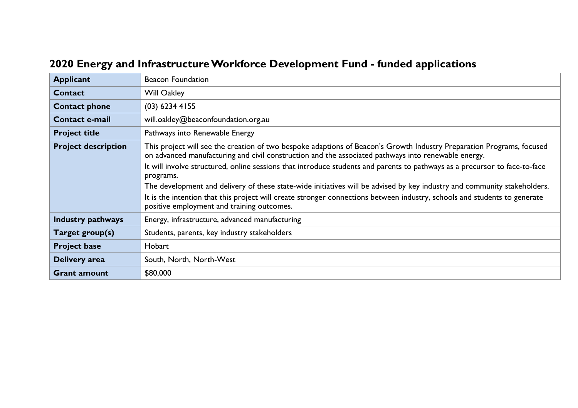## **2020 Energy and Infrastructure Workforce Development Fund - funded applications**

| <b>Applicant</b>           | <b>Beacon Foundation</b>                                                                                                                                                                                                                                                                                                                                                                                                                                                                                                                                                                                                                                                       |
|----------------------------|--------------------------------------------------------------------------------------------------------------------------------------------------------------------------------------------------------------------------------------------------------------------------------------------------------------------------------------------------------------------------------------------------------------------------------------------------------------------------------------------------------------------------------------------------------------------------------------------------------------------------------------------------------------------------------|
| <b>Contact</b>             | <b>Will Oakley</b>                                                                                                                                                                                                                                                                                                                                                                                                                                                                                                                                                                                                                                                             |
| <b>Contact phone</b>       | $(03)$ 6234 4155                                                                                                                                                                                                                                                                                                                                                                                                                                                                                                                                                                                                                                                               |
| <b>Contact e-mail</b>      | will.oakley@beaconfoundation.org.au                                                                                                                                                                                                                                                                                                                                                                                                                                                                                                                                                                                                                                            |
| <b>Project title</b>       | Pathways into Renewable Energy                                                                                                                                                                                                                                                                                                                                                                                                                                                                                                                                                                                                                                                 |
| <b>Project description</b> | This project will see the creation of two bespoke adaptions of Beacon's Growth Industry Preparation Programs, focused<br>on advanced manufacturing and civil construction and the associated pathways into renewable energy.<br>It will involve structured, online sessions that introduce students and parents to pathways as a precursor to face-to-face<br>programs.<br>The development and delivery of these state-wide initiatives will be advised by key industry and community stakeholders.<br>It is the intention that this project will create stronger connections between industry, schools and students to generate<br>positive employment and training outcomes. |
| <b>Industry pathways</b>   | Energy, infrastructure, advanced manufacturing                                                                                                                                                                                                                                                                                                                                                                                                                                                                                                                                                                                                                                 |
| Target group(s)            | Students, parents, key industry stakeholders                                                                                                                                                                                                                                                                                                                                                                                                                                                                                                                                                                                                                                   |
| <b>Project base</b>        | Hobart                                                                                                                                                                                                                                                                                                                                                                                                                                                                                                                                                                                                                                                                         |
| Delivery area              | South, North, North-West                                                                                                                                                                                                                                                                                                                                                                                                                                                                                                                                                                                                                                                       |
| <b>Grant amount</b>        | \$80,000                                                                                                                                                                                                                                                                                                                                                                                                                                                                                                                                                                                                                                                                       |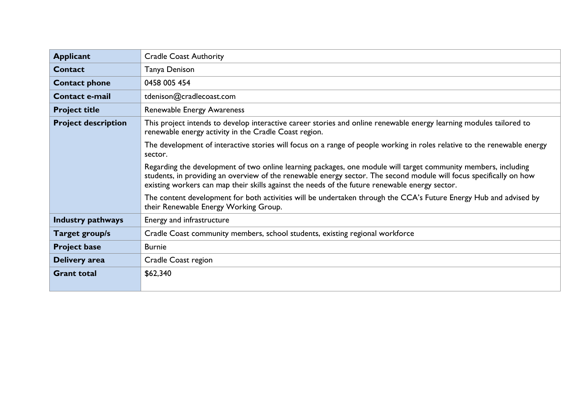| <b>Applicant</b>           | <b>Cradle Coast Authority</b>                                                                                                                                                                                                                                                                                                           |
|----------------------------|-----------------------------------------------------------------------------------------------------------------------------------------------------------------------------------------------------------------------------------------------------------------------------------------------------------------------------------------|
| <b>Contact</b>             | Tanya Denison                                                                                                                                                                                                                                                                                                                           |
| <b>Contact phone</b>       | 0458 005 454                                                                                                                                                                                                                                                                                                                            |
| <b>Contact e-mail</b>      | tdenison@cradlecoast.com                                                                                                                                                                                                                                                                                                                |
| <b>Project title</b>       | Renewable Energy Awareness                                                                                                                                                                                                                                                                                                              |
| <b>Project description</b> | This project intends to develop interactive career stories and online renewable energy learning modules tailored to<br>renewable energy activity in the Cradle Coast region.                                                                                                                                                            |
|                            | The development of interactive stories will focus on a range of people working in roles relative to the renewable energy<br>sector.                                                                                                                                                                                                     |
|                            | Regarding the development of two online learning packages, one module will target community members, including<br>students, in providing an overview of the renewable energy sector. The second module will focus specifically on how<br>existing workers can map their skills against the needs of the future renewable energy sector. |
|                            | The content development for both activities will be undertaken through the CCA's Future Energy Hub and advised by<br>their Renewable Energy Working Group.                                                                                                                                                                              |
| <b>Industry pathways</b>   | Energy and infrastructure                                                                                                                                                                                                                                                                                                               |
| Target group/s             | Cradle Coast community members, school students, existing regional workforce                                                                                                                                                                                                                                                            |
| <b>Project base</b>        | <b>Burnie</b>                                                                                                                                                                                                                                                                                                                           |
| Delivery area              | Cradle Coast region                                                                                                                                                                                                                                                                                                                     |
| <b>Grant total</b>         | \$62,340                                                                                                                                                                                                                                                                                                                                |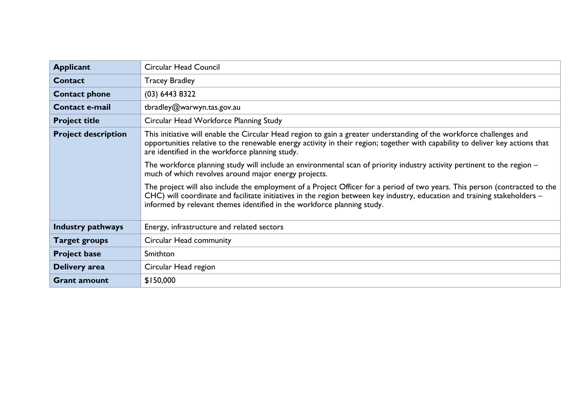| <b>Applicant</b>           | <b>Circular Head Council</b>                                                                                                                                                                                                                                                                                                        |
|----------------------------|-------------------------------------------------------------------------------------------------------------------------------------------------------------------------------------------------------------------------------------------------------------------------------------------------------------------------------------|
| <b>Contact</b>             | <b>Tracey Bradley</b>                                                                                                                                                                                                                                                                                                               |
| <b>Contact phone</b>       | $(03)$ 6443 8322                                                                                                                                                                                                                                                                                                                    |
| <b>Contact e-mail</b>      | tbradley@warwyn.tas.gov.au                                                                                                                                                                                                                                                                                                          |
| <b>Project title</b>       | Circular Head Workforce Planning Study                                                                                                                                                                                                                                                                                              |
| <b>Project description</b> | This initiative will enable the Circular Head region to gain a greater understanding of the workforce challenges and<br>opportunities relative to the renewable energy activity in their region; together with capability to deliver key actions that<br>are identified in the workforce planning study.                            |
|                            | The workforce planning study will include an environmental scan of priority industry activity pertinent to the region –<br>much of which revolves around major energy projects.                                                                                                                                                     |
|                            | The project will also include the employment of a Project Officer for a period of two years. This person (contracted to the<br>CHC) will coordinate and facilitate initiatives in the region between key industry, education and training stakeholders -<br>informed by relevant themes identified in the workforce planning study. |
| <b>Industry pathways</b>   | Energy, infrastructure and related sectors                                                                                                                                                                                                                                                                                          |
| <b>Target groups</b>       | Circular Head community                                                                                                                                                                                                                                                                                                             |
| <b>Project base</b>        | Smithton                                                                                                                                                                                                                                                                                                                            |
| Delivery area              | Circular Head region                                                                                                                                                                                                                                                                                                                |
| <b>Grant amount</b>        | \$150,000                                                                                                                                                                                                                                                                                                                           |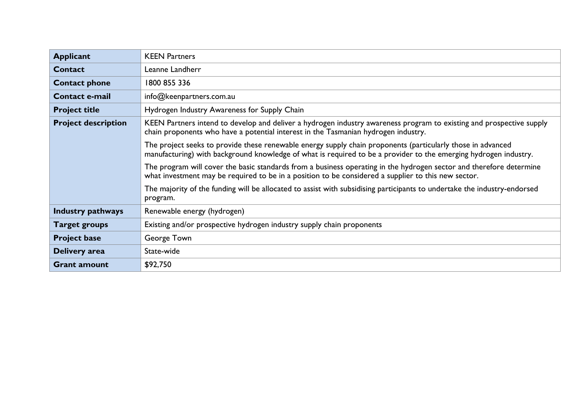| <b>Applicant</b>           | <b>KEEN Partners</b>                                                                                                                                                                                                            |
|----------------------------|---------------------------------------------------------------------------------------------------------------------------------------------------------------------------------------------------------------------------------|
| Contact                    | Leanne Landherr                                                                                                                                                                                                                 |
| <b>Contact phone</b>       | 1800 855 336                                                                                                                                                                                                                    |
| Contact e-mail             | info@keenpartners.com.au                                                                                                                                                                                                        |
| <b>Project title</b>       | Hydrogen Industry Awareness for Supply Chain                                                                                                                                                                                    |
| <b>Project description</b> | KEEN Partners intend to develop and deliver a hydrogen industry awareness program to existing and prospective supply<br>chain proponents who have a potential interest in the Tasmanian hydrogen industry.                      |
|                            | The project seeks to provide these renewable energy supply chain proponents (particularly those in advanced<br>manufacturing) with background knowledge of what is required to be a provider to the emerging hydrogen industry. |
|                            | The program will cover the basic standards from a business operating in the hydrogen sector and therefore determine<br>what investment may be required to be in a position to be considered a supplier to this new sector.      |
|                            | The majority of the funding will be allocated to assist with subsidising participants to undertake the industry-endorsed<br>program.                                                                                            |
| <b>Industry pathways</b>   | Renewable energy (hydrogen)                                                                                                                                                                                                     |
| <b>Target groups</b>       | Existing and/or prospective hydrogen industry supply chain proponents                                                                                                                                                           |
| <b>Project base</b>        | George Town                                                                                                                                                                                                                     |
| Delivery area              | State-wide                                                                                                                                                                                                                      |
| <b>Grant amount</b>        | \$92,750                                                                                                                                                                                                                        |